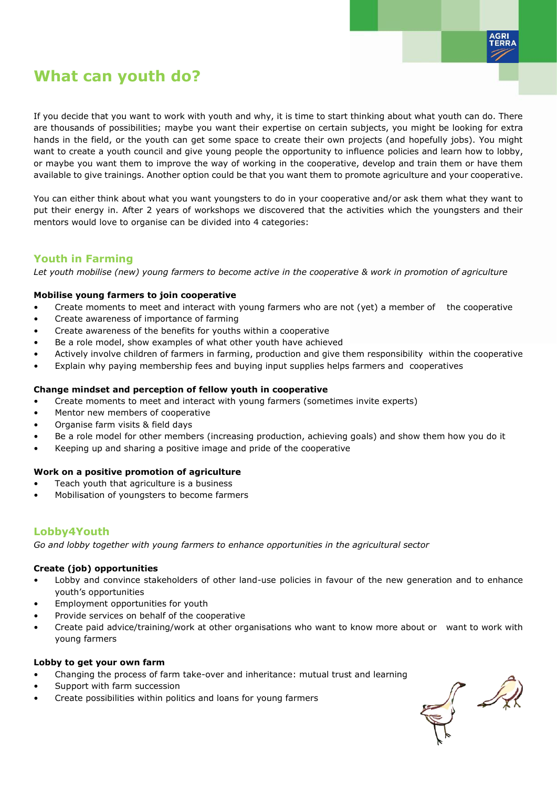

# **What can youth do?**

If you decide that you want to work with youth and why, it is time to start thinking about what youth can do. There are thousands of possibilities; maybe you want their expertise on certain subjects, you might be looking for extra hands in the field, or the youth can get some space to create their own projects (and hopefully jobs). You might want to create a youth council and give young people the opportunity to influence policies and learn how to lobby, or maybe you want them to improve the way of working in the cooperative, develop and train them or have them available to give trainings. Another option could be that you want them to promote agriculture and your cooperative.

You can either think about what you want youngsters to do in your cooperative and/or ask them what they want to put their energy in. After 2 years of workshops we discovered that the activities which the youngsters and their mentors would love to organise can be divided into 4 categories:

# **Youth in Farming**

*Let youth mobilise (new) young farmers to become active in the cooperative & work in promotion of agriculture*

### **Mobilise young farmers to join cooperative**

- Create moments to meet and interact with young farmers who are not (yet) a member of the cooperative
- Create awareness of importance of farming
- Create awareness of the benefits for youths within a cooperative
- Be a role model, show examples of what other youth have achieved
- Actively involve children of farmers in farming, production and give them responsibility within the cooperative
- Explain why paying membership fees and buying input supplies helps farmers and cooperatives

### **Change mindset and perception of fellow youth in cooperative**

- Create moments to meet and interact with young farmers (sometimes invite experts)
- Mentor new members of cooperative
- Organise farm visits & field days
- Be a role model for other members (increasing production, achieving goals) and show them how you do it
- Keeping up and sharing a positive image and pride of the cooperative

### **Work on a positive promotion of agriculture**

- Teach youth that agriculture is a business
- Mobilisation of youngsters to become farmers

# **Lobby4Youth**

*Go and lobby together with young farmers to enhance opportunities in the agricultural sector*

### **Create (job) opportunities**

- Lobby and convince stakeholders of other land-use policies in favour of the new generation and to enhance youth's opportunities
- Employment opportunities for youth
- Provide services on behalf of the cooperative
- Create paid advice/training/work at other organisations who want to know more about or want to work with young farmers

### **Lobby to get your own farm**

- Changing the process of farm take-over and inheritance: mutual trust and learning
- Support with farm succession
- Create possibilities within politics and loans for young farmers

J A